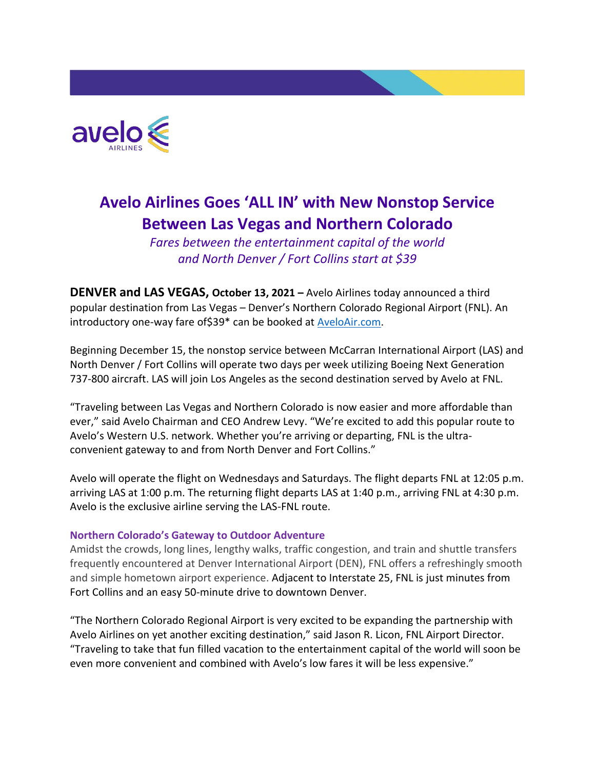

# **Avelo Airlines Goes 'ALL IN' with New Nonstop Service Between Las Vegas and Northern Colorado**

*Fares between the entertainment capital of the world and North Denver / Fort Collins start at \$39*

**DENVER and LAS VEGAS, October 13, 2021 –** Avelo Airlines today announced a third popular destination from Las Vegas – Denver's Northern Colorado Regional Airport (FNL). An introductory one-way fare of\$39\* can be booked at [AveloAir.com.](http://www.aveloair.com/)

Beginning December 15, the nonstop service between McCarran International Airport (LAS) and North Denver / Fort Collins will operate two days per week utilizing Boeing Next Generation 737-800 aircraft. LAS will join Los Angeles as the second destination served by Avelo at FNL.

"Traveling between Las Vegas and Northern Colorado is now easier and more affordable than ever," said Avelo Chairman and CEO Andrew Levy. "We're excited to add this popular route to Avelo's Western U.S. network. Whether you're arriving or departing, FNL is the ultraconvenient gateway to and from North Denver and Fort Collins."

Avelo will operate the flight on Wednesdays and Saturdays. The flight departs FNL at 12:05 p.m. arriving LAS at 1:00 p.m. The returning flight departs LAS at 1:40 p.m., arriving FNL at 4:30 p.m. Avelo is the exclusive airline serving the LAS-FNL route.

# **Northern Colorado's Gateway to Outdoor Adventure**

Amidst the crowds, long lines, lengthy walks, traffic congestion, and train and shuttle transfers frequently encountered at Denver International Airport (DEN), FNL offers a refreshingly smooth and simple hometown airport experience. Adjacent to Interstate 25, FNL is just minutes from Fort Collins and an easy 50-minute drive to downtown Denver.

"The Northern Colorado Regional Airport is very excited to be expanding the partnership with Avelo Airlines on yet another exciting destination," said Jason R. Licon, FNL Airport Director. "Traveling to take that fun filled vacation to the entertainment capital of the world will soon be even more convenient and combined with Avelo's low fares it will be less expensive."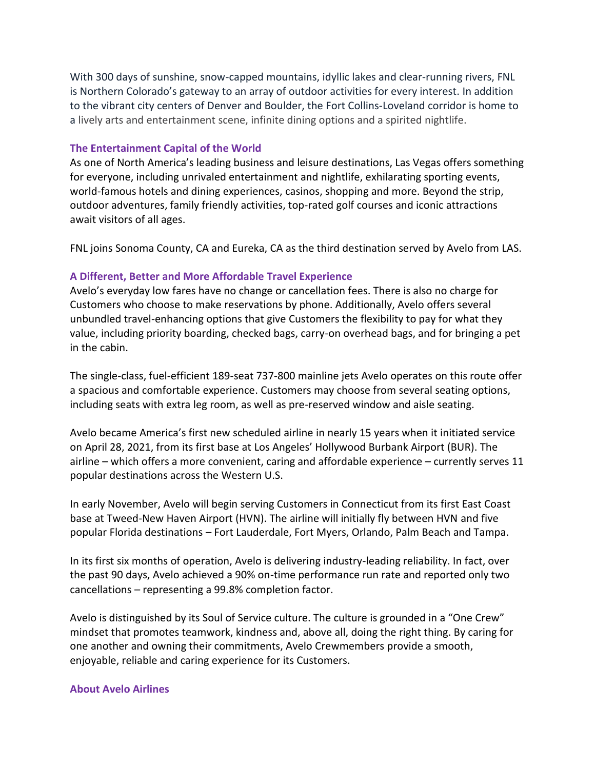With 300 days of sunshine, snow-capped mountains, idyllic lakes and clear-running rivers, FNL is Northern Colorado's gateway to an array of outdoor activities for every interest. In addition to the vibrant city centers of Denver and Boulder, the Fort Collins-Loveland corridor is home to a lively arts and entertainment scene, infinite dining options and a spirited nightlife.

#### **The Entertainment Capital of the World**

As one of North America's leading business and leisure destinations, Las Vegas offers something for everyone, including unrivaled entertainment and nightlife, exhilarating sporting events, world-famous hotels and dining experiences, casinos, shopping and more. Beyond the strip, outdoor adventures, family friendly activities, top-rated golf courses and iconic attractions await visitors of all ages.

FNL joins Sonoma County, CA and Eureka, CA as the third destination served by Avelo from LAS.

# **A Different, Better and More Affordable Travel Experience**

Avelo's everyday low fares have no change or cancellation fees. There is also no charge for Customers who choose to make reservations by phone. Additionally, Avelo offers several unbundled travel-enhancing options that give Customers the flexibility to pay for what they value, including priority boarding, checked bags, carry-on overhead bags, and for bringing a pet in the cabin.

The single-class, fuel-efficient 189-seat 737-800 mainline jets Avelo operates on this route offer a spacious and comfortable experience. Customers may choose from several seating options, including seats with extra leg room, as well as pre-reserved window and aisle seating.

Avelo became America's first new scheduled airline in nearly 15 years when it initiated service on April 28, 2021, from its first base at Los Angeles' Hollywood Burbank Airport (BUR). The airline – which offers a more convenient, caring and affordable experience – currently serves 11 popular destinations across the Western U.S.

In early November, Avelo will begin serving Customers in Connecticut from its first East Coast base at Tweed-New Haven Airport (HVN). The airline will initially fly between HVN and five popular Florida destinations – Fort Lauderdale, Fort Myers, Orlando, Palm Beach and Tampa.

In its first six months of operation, Avelo is delivering industry-leading reliability. In fact, over the past 90 days, Avelo achieved a 90% on-time performance run rate and reported only two cancellations – representing a 99.8% completion factor.

Avelo is distinguished by its Soul of Service culture. The culture is grounded in a "One Crew" mindset that promotes teamwork, kindness and, above all, doing the right thing. By caring for one another and owning their commitments, Avelo Crewmembers provide a smooth, enjoyable, reliable and caring experience for its Customers.

#### **About Avelo Airlines**